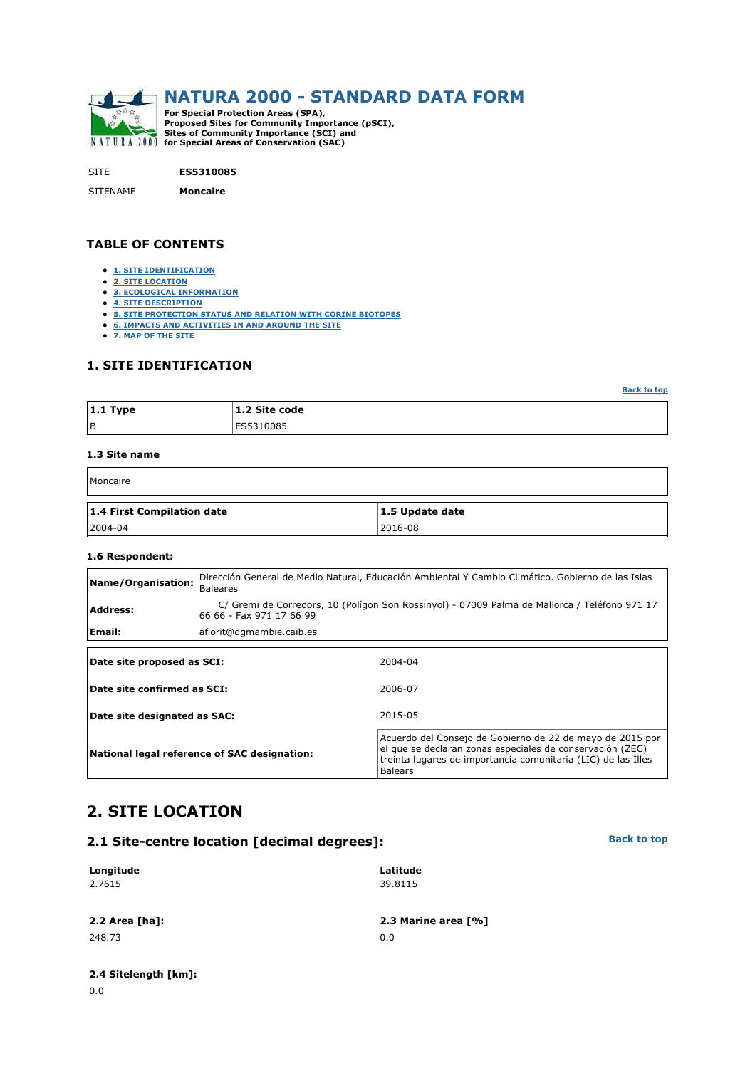

SITE **ES5310085**

SITENAME **Moncaire**

#### **TABLE OF CONTENTS**

- **1. SITE IDENTIFICATION**
- **2. SITE LOCATION**
- **3. ECOLOGICAL INFORMATION**
- **4. SITE DESCRIPTION**
- **5. SITE PROTECTION STATUS AND RELATION WITH CORINE BIOTOPES**
- **6. IMPACTS AND ACTIVITIES IN AND AROUND THE SITE**
- **7. MAP OF THE SITE**

#### **1. SITE IDENTIFICATION**

**Back to top**

**Back to top**

| $ 1.1$ Type | 1.2 Site code |
|-------------|---------------|
| l B         | ES5310085     |

#### **1.3 Site name**

| Moncaire                   |                 |
|----------------------------|-----------------|
| 1.4 First Compilation date | 1.5 Update date |

2004-04 2016-08

#### **1.6 Respondent:**

| Name/Organisation:           | <b>Baleares</b>                              | Dirección General de Medio Natural, Educación Ambiental Y Cambio Climático. Gobierno de las Islas                                                                                                         |  |  |  |  |  |  |
|------------------------------|----------------------------------------------|-----------------------------------------------------------------------------------------------------------------------------------------------------------------------------------------------------------|--|--|--|--|--|--|
| <b>Address:</b>              | 66 66 - Fax 971 17 66 99                     | C/ Gremi de Corredors, 10 (Polígon Son Rossinyol) - 07009 Palma de Mallorca / Teléfono 971 17                                                                                                             |  |  |  |  |  |  |
| Email:                       | aflorit@dgmambie.caib.es                     |                                                                                                                                                                                                           |  |  |  |  |  |  |
|                              |                                              |                                                                                                                                                                                                           |  |  |  |  |  |  |
| Date site proposed as SCI:   |                                              | 2004-04                                                                                                                                                                                                   |  |  |  |  |  |  |
| Date site confirmed as SCI:  |                                              | 2006-07                                                                                                                                                                                                   |  |  |  |  |  |  |
| Date site designated as SAC: |                                              | 2015-05                                                                                                                                                                                                   |  |  |  |  |  |  |
|                              | National legal reference of SAC designation: | Acuerdo del Consejo de Gobierno de 22 de mayo de 2015 por<br>el que se declaran zonas especiales de conservación (ZEC)<br>treinta lugares de importancia comunitaria (LIC) de las Illes<br><b>Balears</b> |  |  |  |  |  |  |

## **2. SITE LOCATION**

#### **2.1 Site-centre location [decimal degrees]:**

#### **Longitude** 2.7615 **Latitude** 39.8115 **2.2 Area [ha]: 2.3 Marine area [%]** 248.73 0.0

### **2.4 Sitelength [km]:**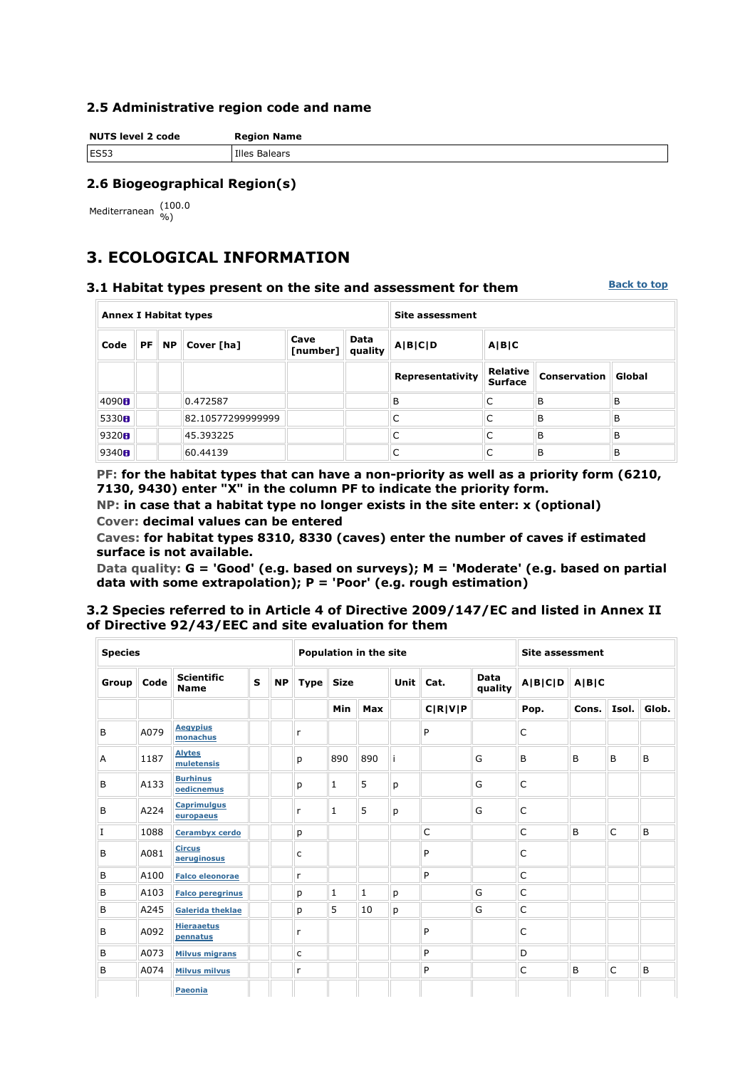#### **2.5 Administrative region code and name**

**NUTS level 2 code Region Name** ES53 Illes Balears

## **2.6 Biogeographical Region(s)**

Mediterranean (100.0

# **3. ECOLOGICAL INFORMATION**

### **3.1 Habitat types present on the site and assessment for them**

**Back to top**

| <b>Annex I Habitat types</b> |           |           |                   | <b>Site assessment</b> |                        |                  |                                   |              |        |
|------------------------------|-----------|-----------|-------------------|------------------------|------------------------|------------------|-----------------------------------|--------------|--------|
| Code                         | <b>PF</b> | <b>NP</b> | Cover [ha]        | Cave<br>[number]       | <b>Data</b><br>quality | A B C D          | A B C                             |              |        |
|                              |           |           |                   |                        |                        | Representativity | <b>Relative</b><br><b>Surface</b> | Conservation | Global |
| 4090H                        |           |           | 0.472587          |                        |                        | B                | C                                 | B            | B      |
| 5330H                        |           |           | 82.10577299999999 |                        |                        | C                | C                                 | B            | B      |
| 9320H                        |           |           | 45.393225         |                        |                        | C                | C                                 | B            | B      |
| 9340H                        |           |           | 60.44139          |                        |                        | C                | C                                 | B            | B      |

**PF: for the habitat types that can have a non-priority as well as a priority form (6210, 7130, 9430) enter "X" in the column PF to indicate the priority form.** 

**NP: in case that a habitat type no longer exists in the site enter: x (optional) Cover: decimal values can be entered** 

**Caves: for habitat types 8310, 8330 (caves) enter the number of caves if estimated surface is not available.** 

**Data quality: G = 'Good' (e.g. based on surveys); M = 'Moderate' (e.g. based on partial data with some extrapolation); P = 'Poor' (e.g. rough estimation)** 

#### **3.2 Species referred to in Article 4 of Directive 2009/147/EC and listed in Annex II of Directive 92/43/EEC and site evaluation for them**

| <b>Species</b> |      |                                  |              | Population in the site |             |              |              |      |              | <b>Site assessment</b> |                  |       |       |       |  |
|----------------|------|----------------------------------|--------------|------------------------|-------------|--------------|--------------|------|--------------|------------------------|------------------|-------|-------|-------|--|
| Group          | Code | <b>Scientific</b><br><b>Name</b> | $\mathbf{s}$ | <b>NP</b>              | <b>Type</b> | <b>Size</b>  |              | Unit | Cat.         | Data<br>quality        | A B C D<br>A B C |       |       |       |  |
|                |      |                                  |              |                        |             | Min          | Max          |      | C R V P      |                        | Pop.             | Cons. | Isol. | Glob. |  |
| B              | A079 | <b>Aegypius</b><br>monachus      |              |                        | r           |              |              |      | P            |                        | C                |       |       |       |  |
| A              | 1187 | <b>Alytes</b><br>muletensis      |              |                        | p           | 890          | 890          | ji   |              | G                      | B                | B     | B     | B     |  |
| B              | A133 | <b>Burhinus</b><br>oedicnemus    |              |                        | р           | 1            | 5            | p    |              | G                      | C                |       |       |       |  |
| B              | A224 | <b>Caprimulgus</b><br>europaeus  |              |                        | r           | $\mathbf{1}$ | 5            | р    |              | G                      | C                |       |       |       |  |
| $\mathbf I$    | 1088 | Cerambyx cerdo                   |              |                        | p           |              |              |      | $\mathsf{C}$ |                        | $\mathsf{C}$     | B     | C     | B     |  |
| B              | A081 | <b>Circus</b><br>aeruginosus     |              |                        | C           |              |              |      | P            |                        | C                |       |       |       |  |
| Β              | A100 | <b>Falco eleonorae</b>           |              |                        | r           |              |              |      | P            |                        | $\mathsf{C}$     |       |       |       |  |
| B              | A103 | <b>Falco peregrinus</b>          |              |                        | р           | $\mathbf{1}$ | $\mathbf{1}$ | p    |              | G                      | $\mathsf{C}$     |       |       |       |  |
| B              | A245 | <b>Galerida theklae</b>          |              |                        | p           | 5            | 10           | р    |              | G                      | $\mathsf{C}$     |       |       |       |  |
| B              | A092 | <b>Hieraaetus</b><br>pennatus    |              |                        | r           |              |              |      | P            |                        | $\mathsf{C}$     |       |       |       |  |
| B              | A073 | <b>Milvus migrans</b>            |              |                        | c           |              |              |      | P            |                        | D                |       |       |       |  |
| B              | A074 | <b>Milvus milvus</b>             |              |                        | r           |              |              |      | P            |                        | $\mathsf{C}$     | B     | C     | B     |  |
|                |      | <b>Paeonia</b>                   |              |                        |             |              |              |      |              |                        |                  |       |       |       |  |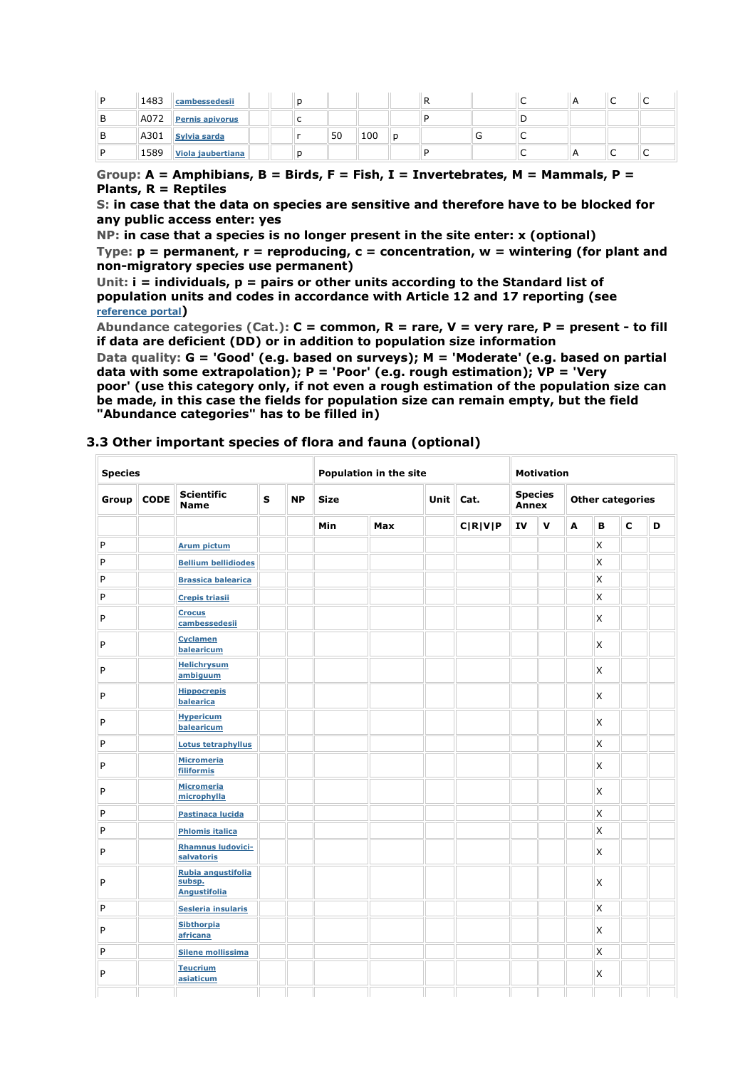| 1483 | cambessedesii          |  |    |     |   |  |     |  |  |
|------|------------------------|--|----|-----|---|--|-----|--|--|
| A072 | <b>Pernis apivorus</b> |  |    |     |   |  |     |  |  |
| A301 | Sylvia sarda           |  | 50 | 100 | Ð |  | . . |  |  |
| 1589 | Viola jaubertiana      |  |    |     |   |  |     |  |  |

### **Group: A = Amphibians, B = Birds, F = Fish, I = Invertebrates, M = Mammals, P = Plants, R = Reptiles**

**S: in case that the data on species are sensitive and therefore have to be blocked for any public access enter: yes** 

**NP: in case that a species is no longer present in the site enter: x (optional)** 

**Type: p = permanent, r = reproducing, c = concentration, w = wintering (for plant and non-migratory species use permanent)** 

**Unit: i = individuals, p = pairs or other units according to the Standard list of population units and codes in accordance with Article 12 and 17 reporting (see reference portal)** 

**Abundance categories (Cat.): C = common, R = rare, V = very rare, P = present - to fill if data are deficient (DD) or in addition to population size information** 

**Data quality: G = 'Good' (e.g. based on surveys); M = 'Moderate' (e.g. based on partial data with some extrapolation); P = 'Poor' (e.g. rough estimation); VP = 'Very poor' (use this category only, if not even a rough estimation of the population size can** 

**be made, in this case the fields for population size can remain empty, but the field "Abundance categories" has to be filled in)** 

### **3.3 Other important species of flora and fauna (optional)**

| <b>Species</b> |             |                                                     |   | <b>Population in the site</b> |             |     |             | <b>Motivation</b> |                         |             |                         |              |             |   |
|----------------|-------------|-----------------------------------------------------|---|-------------------------------|-------------|-----|-------------|-------------------|-------------------------|-------------|-------------------------|--------------|-------------|---|
| Group          | <b>CODE</b> | <b>Scientific</b><br><b>Name</b>                    | S | <b>NP</b>                     | <b>Size</b> |     | <b>Unit</b> | Cat.              | <b>Species</b><br>Annex |             | <b>Other categories</b> |              |             |   |
|                |             |                                                     |   |                               | Min         | Max |             | C R V P           | IV                      | $\mathbf v$ | Α                       | в            | $\mathbf c$ | D |
| P              |             | <b>Arum pictum</b>                                  |   |                               |             |     |             |                   |                         |             |                         | X            |             |   |
| P              |             | <b>Bellium bellidiodes</b>                          |   |                               |             |     |             |                   |                         |             |                         | $\mathsf{x}$ |             |   |
| P              |             | <b>Brassica balearica</b>                           |   |                               |             |     |             |                   |                         |             |                         | $\mathsf{x}$ |             |   |
| P              |             | <b>Crepis triasii</b>                               |   |                               |             |     |             |                   |                         |             |                         | X            |             |   |
| P              |             | <b>Crocus</b><br>cambessedesii                      |   |                               |             |     |             |                   |                         |             |                         | X            |             |   |
| P              |             | <b>Cyclamen</b><br>balearicum                       |   |                               |             |     |             |                   |                         |             |                         | $\mathsf{x}$ |             |   |
| P              |             | <b>Helichrysum</b><br>ambiguum                      |   |                               |             |     |             |                   |                         |             |                         | X            |             |   |
| P              |             | <b>Hippocrepis</b><br>balearica                     |   |                               |             |     |             |                   |                         |             |                         | X            |             |   |
| P              |             | <b>Hypericum</b><br>balearicum                      |   |                               |             |     |             |                   |                         |             |                         | <b>X</b>     |             |   |
| P              |             | <b>Lotus tetraphyllus</b>                           |   |                               |             |     |             |                   |                         |             |                         | $\mathsf{x}$ |             |   |
| P              |             | <b>Micromeria</b><br><b>filiformis</b>              |   |                               |             |     |             |                   |                         |             |                         | X            |             |   |
| P              |             | <b>Micromeria</b><br>microphylla                    |   |                               |             |     |             |                   |                         |             |                         | X            |             |   |
| P              |             | Pastinaca lucida                                    |   |                               |             |     |             |                   |                         |             |                         | X            |             |   |
| P              |             | <b>Phlomis italica</b>                              |   |                               |             |     |             |                   |                         |             |                         | $\mathsf{x}$ |             |   |
| P              |             | <b>Rhamnus Iudovici-</b><br>salvatoris              |   |                               |             |     |             |                   |                         |             |                         | $\mathsf{x}$ |             |   |
| P              |             | Rubia angustifolia<br>subsp.<br><b>Angustifolia</b> |   |                               |             |     |             |                   |                         |             |                         | X            |             |   |
| P              |             | Sesleria insularis                                  |   |                               |             |     |             |                   |                         |             |                         | $\mathsf{x}$ |             |   |
| P              |             | <b>Sibthorpia</b><br>africana                       |   |                               |             |     |             |                   |                         |             |                         | $\mathsf{x}$ |             |   |
| P              |             | <b>Silene mollissima</b>                            |   |                               |             |     |             |                   |                         |             |                         | X            |             |   |
| P              |             | <b>Teucrium</b><br>asiaticum                        |   |                               |             |     |             |                   |                         |             |                         | X            |             |   |
|                |             |                                                     |   |                               |             |     |             |                   |                         |             |                         |              |             |   |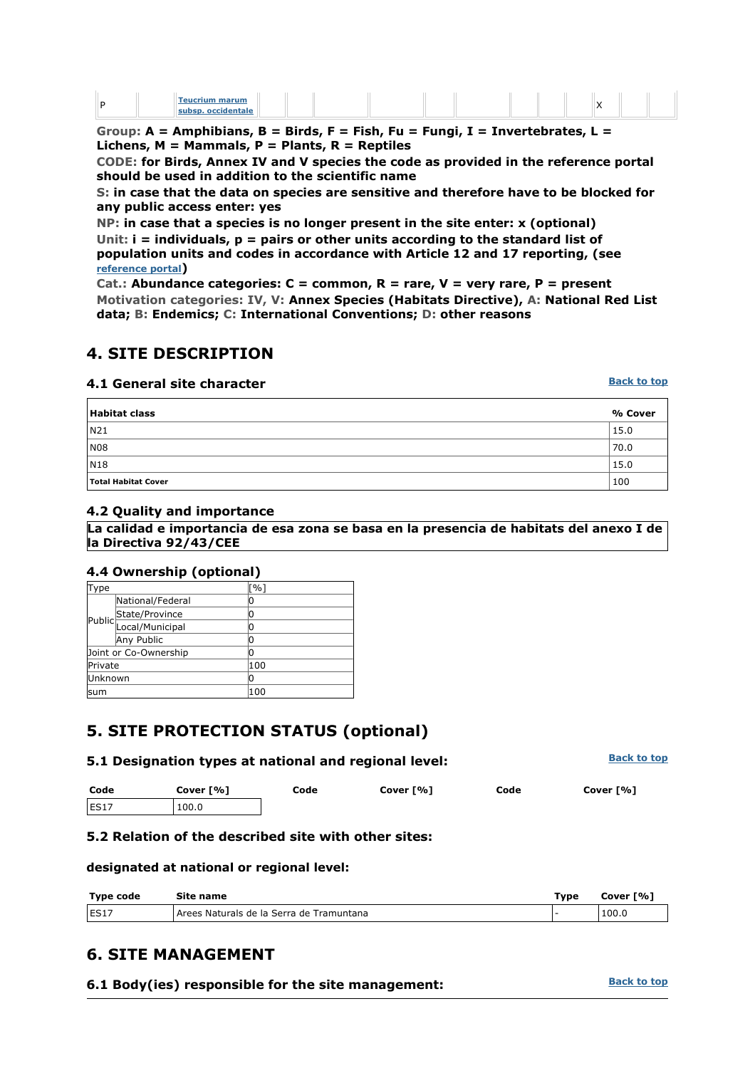| . .<br>su |  | - |  |  |  |  |  |  |  |  |  |  |  |
|-----------|--|---|--|--|--|--|--|--|--|--|--|--|--|
|-----------|--|---|--|--|--|--|--|--|--|--|--|--|--|

**Group: A = Amphibians, B = Birds, F = Fish, Fu = Fungi, I = Invertebrates, L = Lichens, M = Mammals, P = Plants, R = Reptiles** 

**CODE: for Birds, Annex IV and V species the code as provided in the reference portal should be used in addition to the scientific name** 

**S: in case that the data on species are sensitive and therefore have to be blocked for any public access enter: yes** 

**NP: in case that a species is no longer present in the site enter: x (optional) Unit: i = individuals, p = pairs or other units according to the standard list of population units and codes in accordance with Article 12 and 17 reporting, (see reference portal)** 

**Cat.: Abundance categories: C = common, R = rare, V = very rare, P = present Motivation categories: IV, V: Annex Species (Habitats Directive), A: National Red List data; B: Endemics; C: International Conventions; D: other reasons** 

## **4. SITE DESCRIPTION**

### **4.1 General site character**

**Back to top**

| Habitat class              | % Cover |
|----------------------------|---------|
| N21                        | 15.0    |
| N08                        | 70.0    |
| N18                        | 15.0    |
| <b>Total Habitat Cover</b> | 100     |

#### **4.2 Quality and importance**

**La calidad e importancia de esa zona se basa en la presencia de habitats del anexo I de la Directiva 92/43/CEE**

#### **4.4 Ownership (optional)**

| iType   |                                          | $\lceil \% \rceil$ |
|---------|------------------------------------------|--------------------|
|         | National/Federal                         | 0                  |
|         |                                          | 0                  |
|         | Public State/Province<br>Local/Municipal | 0                  |
|         | Any Public                               | 0                  |
|         | Joint or Co-Ownership                    | 0                  |
| Private |                                          | 100                |
| Unknown |                                          | 10                 |
| lsum    |                                          | 100                |

# **5. SITE PROTECTION STATUS (optional)**

| 5.1 Designation types at national and regional level: | <b>Back to top</b> |      |           |      |           |
|-------------------------------------------------------|--------------------|------|-----------|------|-----------|
| Code                                                  | Cover [%]          | Code | Cover [%] | Code | Cover [%] |
| ES17                                                  | 100.0              |      |           |      |           |

#### **5.2 Relation of the described site with other sites:**

**designated at national or regional level:** 

| Type code | Site name                                | Type | Cover [%] |
|-----------|------------------------------------------|------|-----------|
| ES17      | Arees Naturals de la Serra de Tramuntana |      | 100.0     |

## **6. SITE MANAGEMENT**

| 6.1 Body(ies) responsible for the site management: | <b>Back to top</b> |
|----------------------------------------------------|--------------------|
|----------------------------------------------------|--------------------|